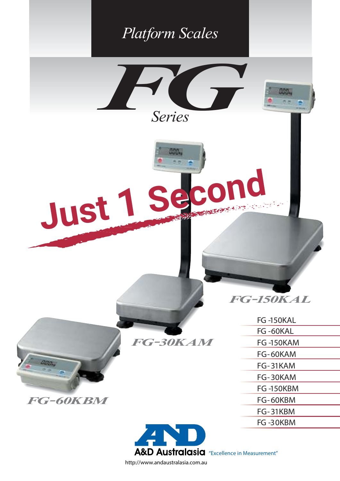

http://www.andaustralasia.com.au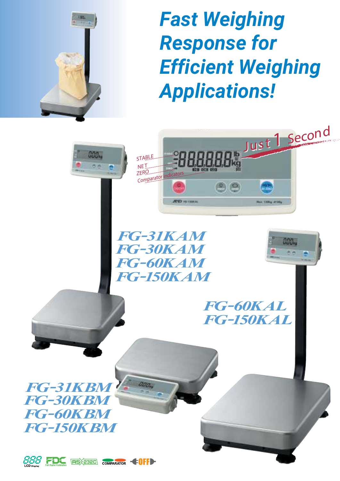

# **Fast Weighing Response for Efficient Weighing Applications!**

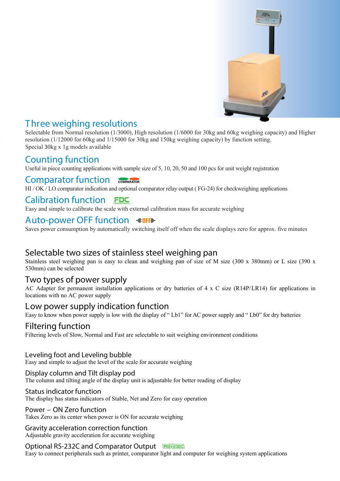

## *T hree weighing resolutions*

Selectable from Normal resolution (1/3000), High resolution (1/6000 for 30kg and 60kg weighing capacity) and Higher resolution (1/12000 for 60kg and 1/15000 for 30kg and 150kg weighing capacity) by function setting. Special 30kg x 1g models available

## *Counting function*

Useful in piece counting applications with sample size of 5, 10, 20, 50 and 100 pcs for unit weight registration

#### *Comparator function* COMPARATOR

HI / OK / LO comparator indication and optional comparator relay output (FG-24) for checkweighing applications

## *Calibration function*

Easy and simple to calibrate the scale with external calibration mass for accurate weighing

## *Auto-power OFF function*

Saves power consumption by automatically switching itself off when the scale displays zero for approx. five minutes

## *Selectable two sizes of stainless steel weighing pan*

Stainless steel weighing pan is easy to clean and weighing pan of size of M size (300 x 380mm) or L size (390 x 530mm) can be selected

## *Two types of power supply*

AC Adapter for permanent installation applications or dry batteries of 4 x C size (R14P/LR14) for applications in locations with no AC power supply

## *Low power supply indication function*

Easy to know when power supply is low with the display of " Lb1" for AC power supply and " Lb0" for dry batteries

## *Filtering function*

Filtering levels of Slow, Normal and Fast are selectable to suit weighing environment conditions

#### *Leveling foot and Leveling bubble*

Easy and simple to adjust the level of the scale for accurate weighing

#### *Display column and Tilt display pod*

The column and tilting angle of the display unit is adjustable for better reading of display

#### *Status indicator function*

The display has status indicators of Stable, Net and Zero for easy operation

#### *Power – ON Zero function*

Takes Zero as its center when power is ON for accurate weighing

#### *Gravity acceleration correction function*

Adjustable gravity acceleration for accurate weighing

#### *Optional RS-232C and Comparator Output*

Easy to connect peripherals such as printer, comparator light and computer for weighing system applications